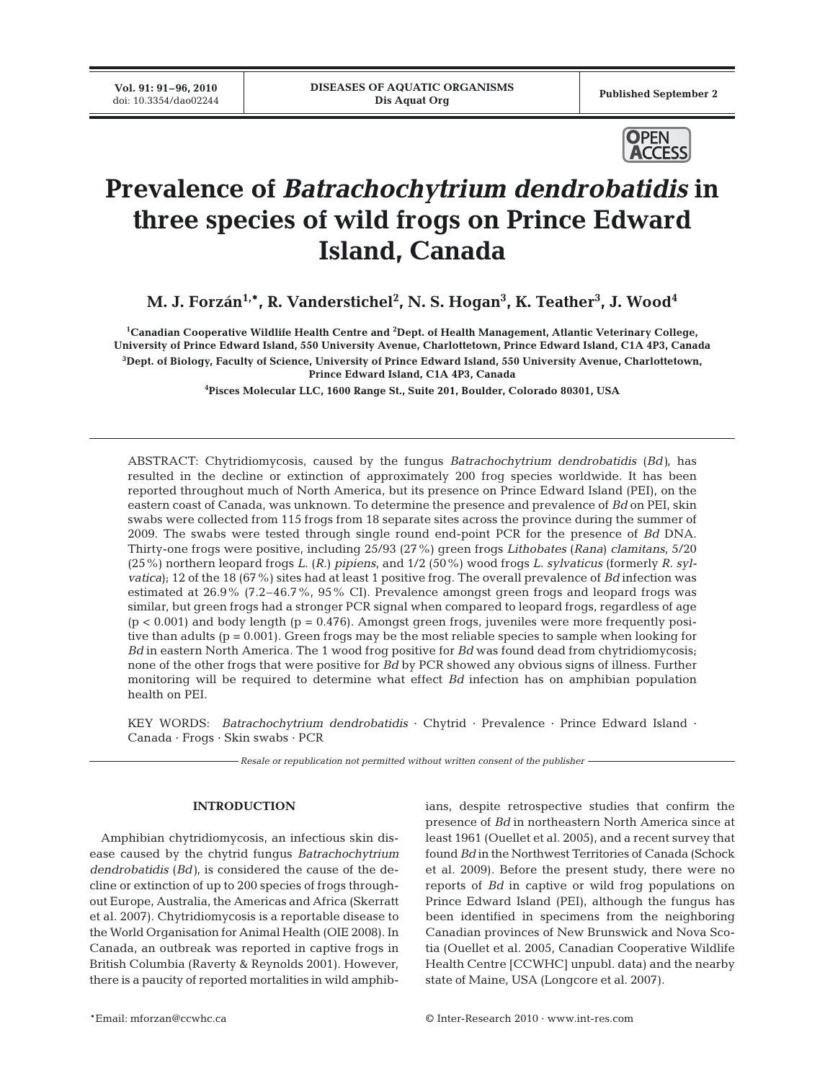Published September 2



# **Prevalence of** *Batrachochytrium dendrobatidis* **in three species of wild frogs on Prince Edward Island, Canada**

M. J. Forzán<sup>1,</sup>\*, R. Vanderstichel<sup>2</sup>, N. S. Hogan<sup>3</sup>, K. Teather<sup>3</sup>, J. Wood<sup>4</sup>

**1 Canadian Cooperative Wildlife Health Centre and 2 Dept. of Health Management, Atlantic Veterinary College, University of Prince Edward Island, 550 University Avenue, Charlottetown, Prince Edward Island, C1A 4P3, Canada 3 Dept. of Biology, Faculty of Science, University of Prince Edward Island, 550 University Avenue, Charlottetown, Prince Edward Island, C1A 4P3, Canada**

**4 Pisces Molecular LLC, 1600 Range St., Suite 201, Boulder, Colorado 80301, USA**

ABSTRACT: Chytridiomycosis, caused by the fungus *Batrachochytrium dendrobatidis* (*Bd)*, has resulted in the decline or extinction of approximately 200 frog species worldwide. It has been reported throughout much of North America, but its presence on Prince Edward Island (PEI), on the eastern coast of Canada, was unknown. To determine the presence and prevalence of *Bd* on PEI, skin swabs were collected from 115 frogs from 18 separate sites across the province during the summer of 2009. The swabs were tested through single round end-point PCR for the presence of *Bd* DNA. Thirty-one frogs were positive, including 25/93 (27%) green frogs *Lithobates* (*Rana*) *clamitans*, 5/20 (25%) northern leopard frogs *L.* (*R.*) *pipiens*, and 1/2 (50%) wood frogs *L. sylvaticus* (formerly *R. sylvatica*); 12 of the 18 (67%) sites had at least 1 positive frog. The overall prevalence of *Bd* infection was estimated at 26.9% (7.2–46.7%, 95% CI). Prevalence amongst green frogs and leopard frogs was similar, but green frogs had a stronger PCR signal when compared to leopard frogs, regardless of age  $(p < 0.001)$  and body length  $(p = 0.476)$ . Amongst green frogs, juveniles were more frequently positive than adults ( $p = 0.001$ ). Green frogs may be the most reliable species to sample when looking for *Bd* in eastern North America. The 1 wood frog positive for *Bd* was found dead from chytridiomycosis; none of the other frogs that were positive for *Bd* by PCR showed any obvious signs of illness. Further monitoring will be required to determine what effect *Bd* infection has on amphibian population health on PEI.

KEY WORDS: *Batrachochytrium dendrobatidis* · Chytrid · Prevalence · Prince Edward Island · Canada · Frogs · Skin swabs · PCR

*Resale or republication not permitted without written consent of the publisher*

# **INTRODUCTION**

Amphibian chytridiomycosis, an infectious skin disease caused by the chytrid fungus *Batrachochytrium dendrobatidis* (*Bd)*, is considered the cause of the decline or extinction of up to 200 species of frogs throughout Europe, Australia, the Americas and Africa (Skerratt et al. 2007). Chytridiomycosis is a reportable disease to the World Organisation for Animal Health (OIE 2008). In Canada, an outbreak was reported in captive frogs in British Columbia (Raverty & Reynolds 2001). However, there is a paucity of reported mortalities in wild amphibians, despite retrospective studies that confirm the presence of *Bd* in northeastern North America since at least 1961 (Ouellet et al. 2005), and a recent survey that found *Bd* in the Northwest Territories of Canada (Schock et al. 2009). Before the present study, there were no reports of *Bd* in captive or wild frog populations on Prince Edward Island (PEI), although the fungus has been identified in specimens from the neighboring Canadian provinces of New Brunswick and Nova Scotia (Ouellet et al. 2005, Canadian Cooperative Wildlife Health Centre [CCWHC] unpubl. data) and the nearby state of Maine, USA (Longcore et al. 2007).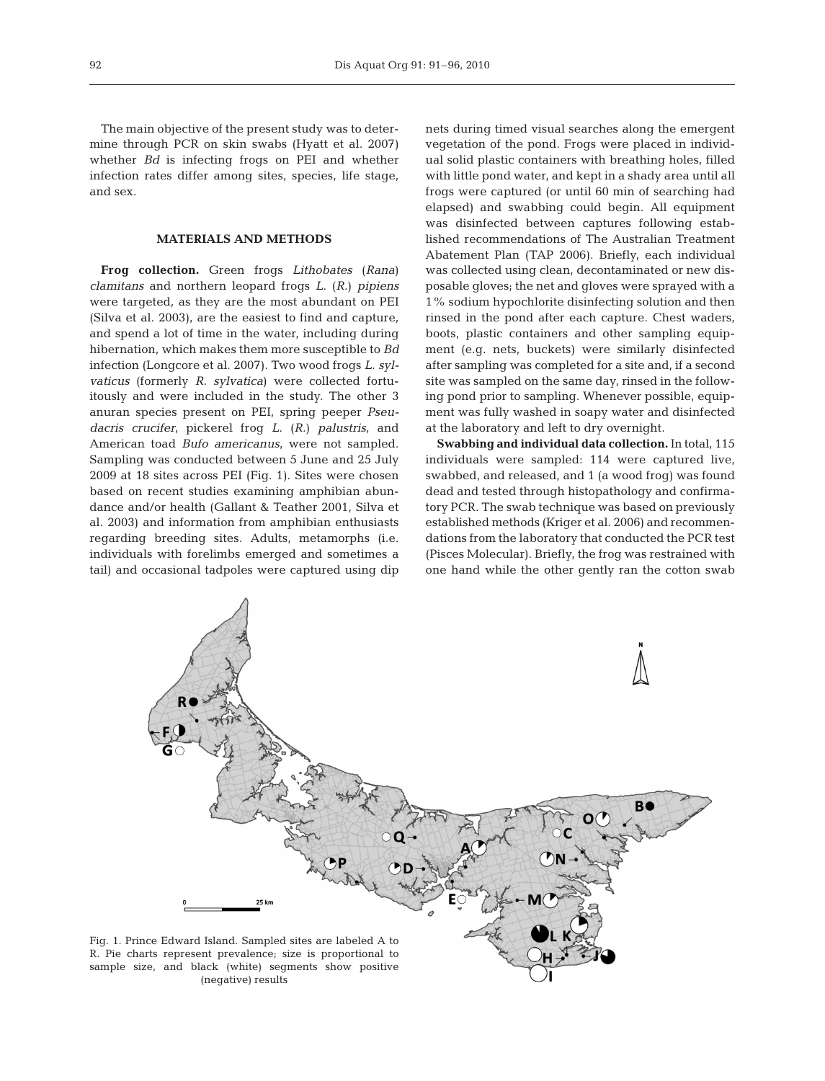The main objective of the present study was to determine through PCR on skin swabs (Hyatt et al. 2007) whether *Bd* is infecting frogs on PEI and whether infection rates differ among sites, species, life stage, and sex.

## **MATERIALS AND METHODS**

**Frog collection.** Green frogs *Lithobates* (*Rana*) *clamitans* and northern leopard frogs *L.* (*R.*) *pipiens* were targeted, as they are the most abundant on PEI (Silva et al. 2003), are the easiest to find and capture, and spend a lot of time in the water, including during hibernation, which makes them more susceptible to *Bd* infection (Longcore et al. 2007). Two wood frogs *L. sylvaticus* (formerly *R. sylvatica*) were collected fortuitously and were included in the study. The other 3 anuran species present on PEI, spring peeper *Pseudacris crucifer*, pickerel frog *L.* (*R.*) *palustris*, and American toad *Bufo americanus*, were not sampled. Sampling was conducted between 5 June and 25 July 2009 at 18 sites across PEI (Fig. 1). Sites were chosen based on recent studies examining amphibian abundance and/or health (Gallant & Teather 2001, Silva et al. 2003) and information from amphibian enthusiasts regarding breeding sites. Adults, metamorphs (i.e. individuals with forelimbs emerged and sometimes a tail) and occasional tadpoles were captured using dip nets during timed visual searches along the emergent vegetation of the pond. Frogs were placed in individual solid plastic containers with breathing holes, filled with little pond water, and kept in a shady area until all frogs were captured (or until 60 min of searching had elapsed) and swabbing could begin. All equipment was disinfected between captures following established recommendations of The Australian Treatment Abatement Plan (TAP 2006). Briefly, each individual was collected using clean, decontaminated or new disposable gloves; the net and gloves were sprayed with a 1% sodium hypochlorite disinfecting solution and then rinsed in the pond after each capture. Chest waders, boots, plastic containers and other sampling equipment (e.g. nets, buckets) were similarly disinfected after sampling was completed for a site and, if a second site was sampled on the same day, rinsed in the following pond prior to sampling. Whenever possible, equipment was fully washed in soapy water and disinfected at the laboratory and left to dry overnight.

**Swabbing and individual data collection.** In total, 115 individuals were sampled: 114 were captured live, swabbed, and released, and 1 (a wood frog) was found dead and tested through histopathology and confirmatory PCR. The swab technique was based on previously established methods (Kriger et al. 2006) and recommendations from the laboratory that conducted the PCR test (Pisces Molecular). Briefly, the frog was restrained with one hand while the other gently ran the cotton swab



R. Pie charts represent prevalence; size is proportional to sample size, and black (white) segments show positive (negative) results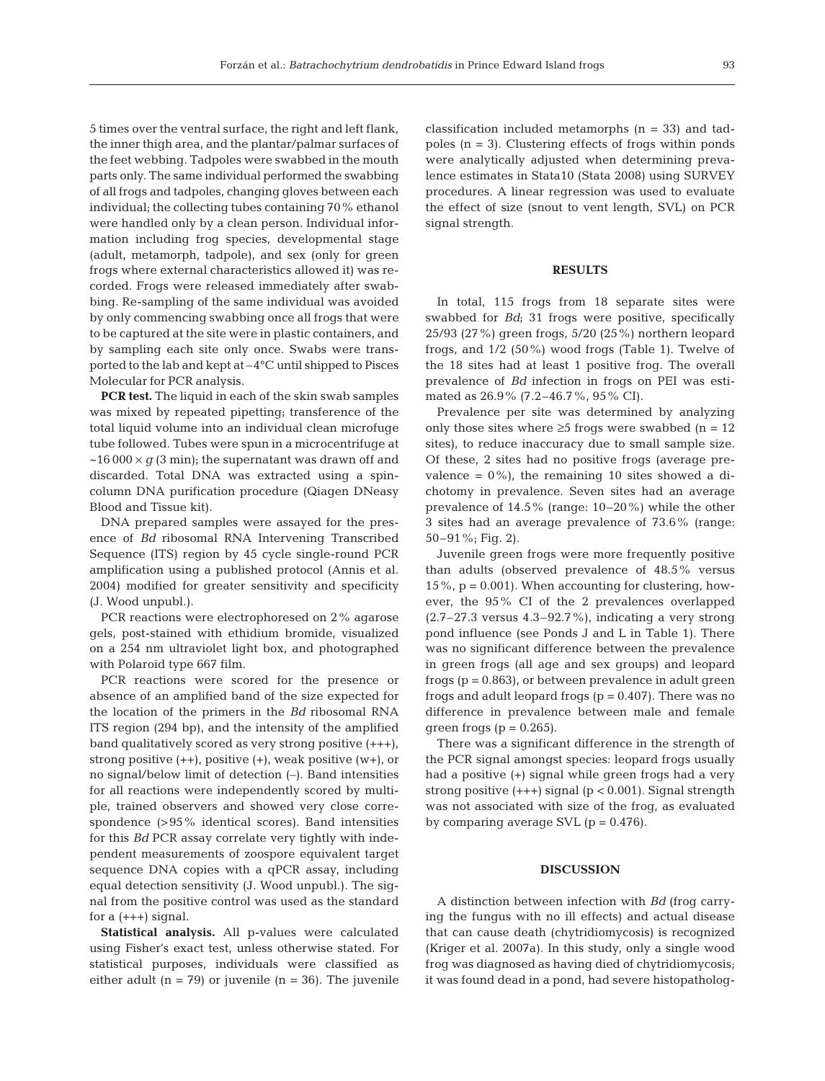5 times over the ventral surface, the right and left flank, the inner thigh area, and the plantar/palmar surfaces of the feet webbing. Tadpoles were swabbed in the mouth parts only. The same individual performed the swabbing of all frogs and tadpoles, changing gloves between each individual; the collecting tubes containing 70% ethanol were handled only by a clean person. Individual information including frog species, developmental stage (adult, metamorph, tadpole), and sex (only for green frogs where external characteristics allowed it) was recorded. Frogs were released immediately after swabbing. Re-sampling of the same individual was avoided by only commencing swabbing once all frogs that were to be captured at the site were in plastic containers, and by sampling each site only once. Swabs were transported to the lab and kept at –4°C until shipped to Pisces Molecular for PCR analysis.

**PCR test.** The liquid in each of the skin swab samples was mixed by repeated pipetting; transference of the total liquid volume into an individual clean microfuge tube followed. Tubes were spun in a microcentrifuge at  $\sim$ 16 000  $\times$  *g* (3 min); the supernatant was drawn off and discarded. Total DNA was extracted using a spincolumn DNA purification procedure (Qiagen DNeasy Blood and Tissue kit).

DNA prepared samples were assayed for the presence of *Bd* ribosomal RNA Intervening Transcribed Sequence (ITS) region by 45 cycle single-round PCR amplification using a published protocol (Annis et al. 2004) modified for greater sensitivity and specificity (J. Wood unpubl.).

PCR reactions were electrophoresed on 2% agarose gels, post-stained with ethidium bromide, visualized on a 254 nm ultraviolet light box, and photographed with Polaroid type 667 film.

PCR reactions were scored for the presence or absence of an amplified band of the size expected for the location of the primers in the *Bd* ribosomal RNA ITS region (294 bp), and the intensity of the amplified band qualitatively scored as very strong positive (+++), strong positive  $(+)$ , positive  $(+)$ , weak positive  $(w+)$ , or no signal/below limit of detection (–). Band intensities for all reactions were independently scored by multiple, trained observers and showed very close correspondence (>95% identical scores). Band intensities for this *Bd* PCR assay correlate very tightly with independent measurements of zoospore equivalent target sequence DNA copies with a qPCR assay, including equal detection sensitivity (J. Wood unpubl.). The signal from the positive control was used as the standard for  $a (+++)$  signal.

**Statistical analysis.** All p-values were calculated using Fisher's exact test, unless otherwise stated. For statistical purposes, individuals were classified as either adult  $(n = 79)$  or juvenile  $(n = 36)$ . The juvenile classification included metamorphs (n = 33) and tadpoles  $(n = 3)$ . Clustering effects of frogs within ponds were analytically adjusted when determining prevalence estimates in Stata10 (Stata 2008) using SURVEY procedures. A linear regression was used to evaluate the effect of size (snout to vent length, SVL) on PCR signal strength.

#### **RESULTS**

In total, 115 frogs from 18 separate sites were swabbed for *Bd*; 31 frogs were positive, specifically 25/93 (27%) green frogs, 5/20 (25%) northern leopard frogs, and 1/2 (50%) wood frogs (Table 1). Twelve of the 18 sites had at least 1 positive frog. The overall prevalence of *Bd* infection in frogs on PEI was estimated as 26.9% (7.2–46.7%, 95% CI).

Prevalence per site was determined by analyzing only those sites where  $\geq$ 5 frogs were swabbed (n = 12 sites), to reduce inaccuracy due to small sample size. Of these, 2 sites had no positive frogs (average prevalence =  $0\%$ ), the remaining 10 sites showed a dichotomy in prevalence. Seven sites had an average prevalence of 14.5% (range: 10–20%) while the other 3 sites had an average prevalence of 73.6% (range: 50–91%; Fig. 2).

Juvenile green frogs were more frequently positive than adults (observed prevalence of 48.5% versus  $15\%$ , p = 0.001). When accounting for clustering, however, the 95% CI of the 2 prevalences overlapped  $(2.7-27.3$  versus  $4.3-92.7\%$ , indicating a very strong pond influence (see Ponds J and L in Table 1). There was no significant difference between the prevalence in green frogs (all age and sex groups) and leopard frogs ( $p = 0.863$ ), or between prevalence in adult green frogs and adult leopard frogs  $(p = 0.407)$ . There was no difference in prevalence between male and female green frogs ( $p = 0.265$ ).

There was a significant difference in the strength of the PCR signal amongst species: leopard frogs usually had a positive (+) signal while green frogs had a very strong positive  $(+++)$  signal ( $p < 0.001$ ). Signal strength was not associated with size of the frog, as evaluated by comparing average SVL  $(p = 0.476)$ .

### **DISCUSSION**

A distinction between infection with *Bd* (frog carrying the fungus with no ill effects) and actual disease that can cause death (chytridiomycosis) is recognized (Kriger et al. 2007a). In this study, only a single wood frog was diagnosed as having died of chytridiomycosis; it was found dead in a pond, had severe histopatholog-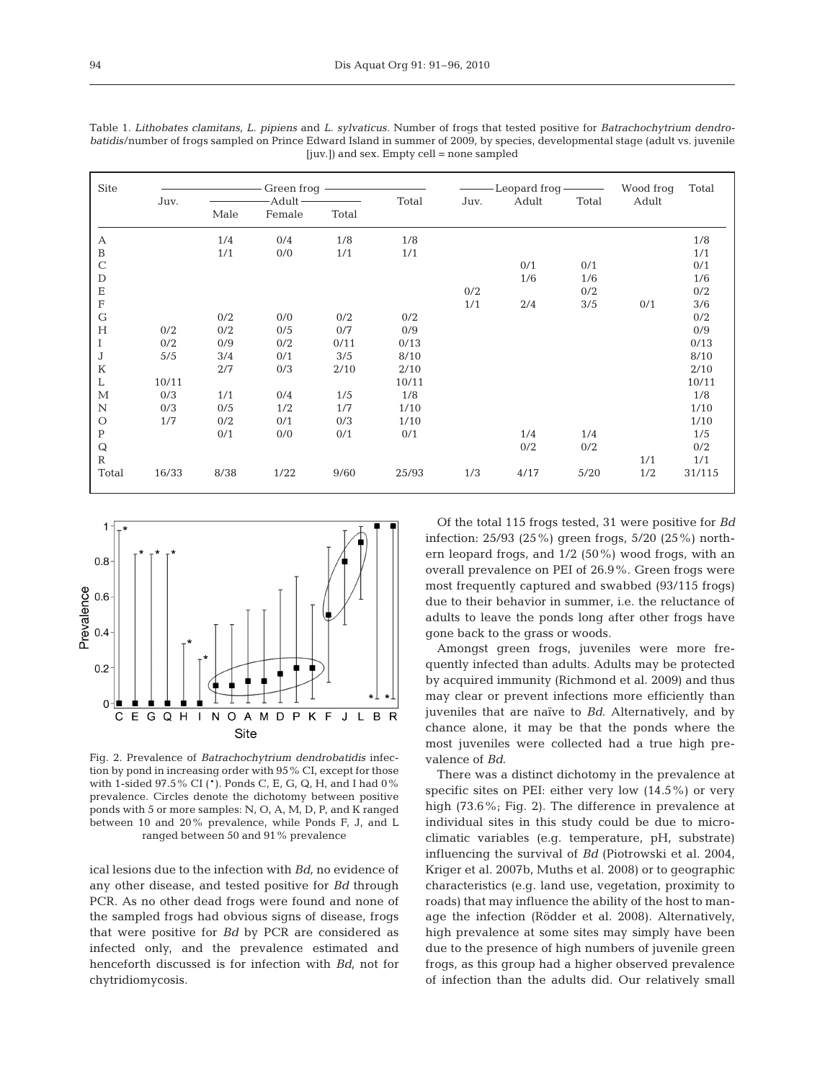| <b>Site</b>             | Juv.  | Green froq<br>-Adult- |        |       | Total | - Leopard froq -<br>Adult<br>Total<br>Juv. |      |      | Wood froq<br>Adult | Total  |
|-------------------------|-------|-----------------------|--------|-------|-------|--------------------------------------------|------|------|--------------------|--------|
|                         |       | Male                  | Female | Total |       |                                            |      |      |                    |        |
| А                       |       | 1/4                   | 0/4    | 1/8   | 1/8   |                                            |      |      |                    | 1/8    |
| $\mathbf B$             |       | 1/1                   | 0/0    | 1/1   | 1/1   |                                            |      |      |                    | 1/1    |
| $\mathbf C$             |       |                       |        |       |       |                                            | 0/1  | 0/1  |                    | 0/1    |
| $\mathbf D$             |       |                       |        |       |       |                                            | 1/6  | 1/6  |                    | 1/6    |
| $\mathbf E$             |       |                       |        |       |       | 0/2                                        |      | 0/2  |                    | 0/2    |
| $\overline{\mathrm{F}}$ |       |                       |        |       |       | 1/1                                        | 2/4  | 3/5  | 0/1                | 3/6    |
| $\mathsf{G}$            |       | 0/2                   | 0/0    | 0/2   | 0/2   |                                            |      |      |                    | 0/2    |
| H                       | 0/2   | 0/2                   | 0/5    | 0/7   | 0/9   |                                            |      |      |                    | 0/9    |
|                         | 0/2   | 0/9                   | 0/2    | 0/11  | 0/13  |                                            |      |      |                    | 0/13   |
| J                       | 5/5   | 3/4                   | 0/1    | 3/5   | 8/10  |                                            |      |      |                    | 8/10   |
| K                       |       | 2/7                   | 0/3    | 2/10  | 2/10  |                                            |      |      |                    | 2/10   |
| L                       | 10/11 |                       |        |       | 10/11 |                                            |      |      |                    | 10/11  |
| $\mathbf{M}$            | 0/3   | 1/1                   | 0/4    | 1/5   | 1/8   |                                            |      |      |                    | 1/8    |
| $\mathbf N$             | 0/3   | 0/5                   | 1/2    | 1/7   | 1/10  |                                            |      |      |                    | 1/10   |
| $\circ$                 | 1/7   | 0/2                   | 0/1    | 0/3   | 1/10  |                                            |      |      |                    | 1/10   |
| $\, {\bf P}$            |       | 0/1                   | 0/0    | 0/1   | 0/1   |                                            | 1/4  | 1/4  |                    | 1/5    |
| ${\bf Q}$               |       |                       |        |       |       |                                            | 0/2  | 0/2  |                    | 0/2    |
| $\mathbf R$             |       |                       |        |       |       |                                            |      |      | 1/1                | 1/1    |
| Total                   | 16/33 | 8/38                  | 1/22   | 9/60  | 25/93 | 1/3                                        | 4/17 | 5/20 | 1/2                | 31/115 |

Table 1. *Lithobates clamitans, L. pipiens* and *L. sylvaticus.* Number of frogs that tested positive for *Batrachochytrium dendrobatidis*/number of frogs sampled on Prince Edward Island in summer of 2009, by species, developmental stage (adult vs. juvenile [juv.]) and sex. Empty cell = none sampled



Fig. 2. Prevalence of *Batrachochytrium dendrobatidis* infection by pond in increasing order with 95% CI, except for those with 1-sided 97.5% CI (\*). Ponds C, E, G, Q, H, and I had 0% prevalence. Circles denote the dichotomy between positive ponds with 5 or more samples: N, O, A, M, D, P, and K ranged between 10 and 20% prevalence, while Ponds F, J, and L ranged between 50 and 91% prevalence

ical lesions due to the infection with *Bd,* no evidence of any other disease, and tested positive for *Bd* through PCR. As no other dead frogs were found and none of the sampled frogs had obvious signs of disease, frogs that were positive for *Bd* by PCR are considered as infected only, and the prevalence estimated and henceforth discussed is for infection with *Bd*, not for chytridiomycosis.

Of the total 115 frogs tested, 31 were positive for *Bd* infection: 25/93 (25%) green frogs, 5/20 (25%) northern leopard frogs, and 1/2 (50%) wood frogs, with an overall prevalence on PEI of 26.9%. Green frogs were most frequently captured and swabbed (93/115 frogs) due to their behavior in summer, i.e. the reluctance of adults to leave the ponds long after other frogs have gone back to the grass or woods.

Amongst green frogs, juveniles were more frequently infected than adults. Adults may be protected by acquired immunity (Richmond et al. 2009) and thus may clear or prevent infections more efficiently than juveniles that are naïve to *Bd*. Alternatively, and by chance alone, it may be that the ponds where the most juveniles were collected had a true high prevalence of *Bd*.

There was a distinct dichotomy in the prevalence at specific sites on PEI: either very low (14.5%) or very high (73.6%; Fig. 2). The difference in prevalence at individual sites in this study could be due to microclimatic variables (e.g. temperature, pH, substrate) influencing the survival of *Bd* (Piotrowski et al. 2004, Kriger et al. 2007b, Muths et al. 2008) or to geographic characteristics (e.g. land use, vegetation, proximity to roads) that may influence the ability of the host to manage the infection (Rödder et al. 2008). Alternatively, high prevalence at some sites may simply have been due to the presence of high numbers of juvenile green frogs, as this group had a higher observed prevalence of infection than the adults did. Our relatively small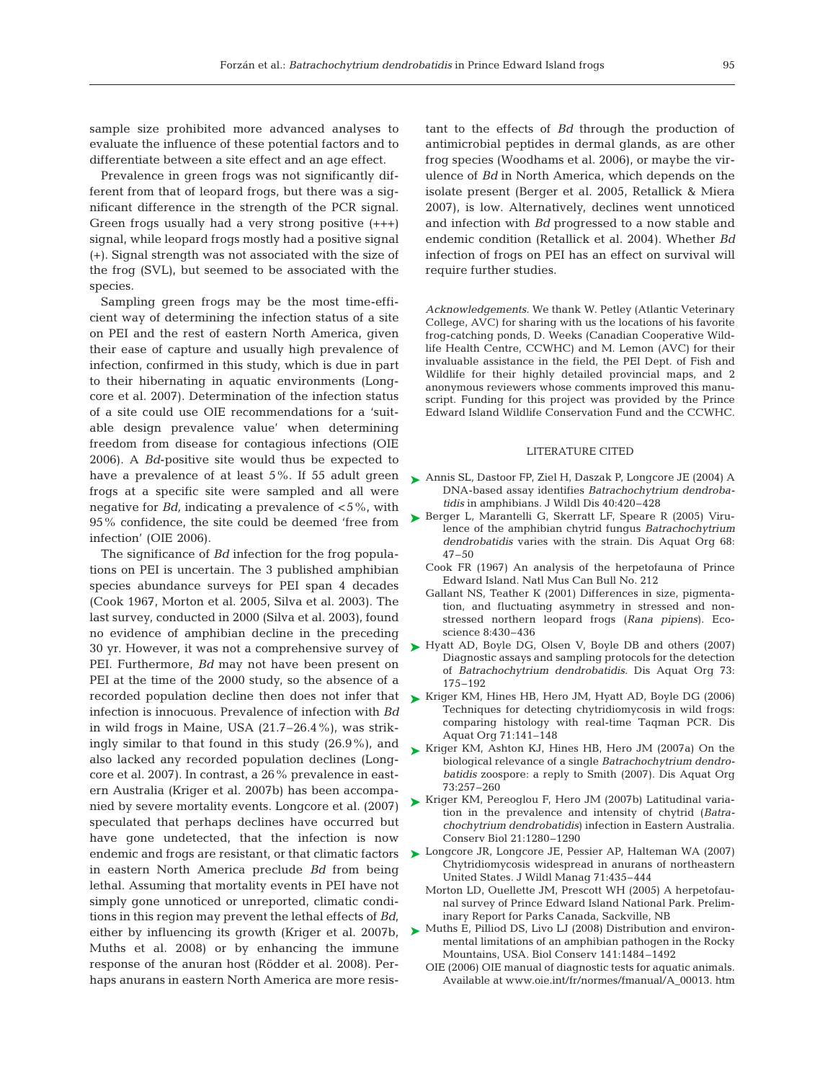sample size prohibited more advanced analyses to evaluate the influence of these potential factors and to differentiate between a site effect and an age effect.

Prevalence in green frogs was not significantly different from that of leopard frogs, but there was a significant difference in the strength of the PCR signal. Green frogs usually had a very strong positive (+++) signal, while leopard frogs mostly had a positive signal (+). Signal strength was not associated with the size of the frog (SVL), but seemed to be associated with the species.

Sampling green frogs may be the most time-efficient way of determining the infection status of a site on PEI and the rest of eastern North America, given their ease of capture and usually high prevalence of infection, confirmed in this study, which is due in part to their hibernating in aquatic environments (Longcore et al. 2007). Determination of the infection status of a site could use OIE recommendations for a 'suitable design prevalence value' when determining freedom from disease for contagious infections (OIE 2006). A *Bd*-positive site would thus be expected to have a prevalence of at least 5%. If 55 adult green frogs at a specific site were sampled and all were negative for *Bd,* indicating a prevalence of <5%, with 95% confidence, the site could be deemed 'free from infection' (OIE 2006).

The significance of *Bd* infection for the frog populations on PEI is uncertain. The 3 published amphibian species abundance surveys for PEI span 4 decades (Cook 1967, Morton et al. 2005, Silva et al. 2003). The last survey, conducted in 2000 (Silva et al. 2003), found no evidence of amphibian decline in the preceding 30 yr. However, it was not a comprehensive survey of PEI. Furthermore, *Bd* may not have been present on PEI at the time of the 2000 study, so the absence of a recorded population decline then does not infer that  $\quad$  Kriger KM, Hines HB, Hero JM, Hyatt AD, Boyle DG (2006) infection is innocuous. Prevalence of infection with *Bd* in wild frogs in Maine, USA (21.7–26.4%), was strikingly similar to that found in this study (26.9%), and also lacked any recorded population declines (Longcore et al. 2007). In contrast, a 26% prevalence in eastern Australia (Kriger et al. 2007b) has been accompanied by severe mortality events. Longcore et al. (2007) speculated that perhaps declines have occurred but have gone undetected, that the infection is now endemic and frogs are resistant, or that climatic factors in eastern North America preclude *Bd* from being lethal. Assuming that mortality events in PEI have not simply gone unnoticed or unreported, climatic conditions in this region may prevent the lethal effects of *Bd*, either by influencing its growth (Kriger et al. 2007b, Muths et al. 2008) or by enhancing the immune response of the anuran host (Rödder et al. 2008). Perhaps anurans in eastern North America are more resis-

tant to the effects of *Bd* through the production of antimicrobial peptides in dermal glands, as are other frog species (Woodhams et al. 2006), or maybe the virulence of *Bd* in North America, which depends on the isolate present (Berger et al. 2005, Retallick & Miera 2007), is low. Alternatively, declines went unnoticed and infection with *Bd* progressed to a now stable and endemic condition (Retallick et al. 2004). Whether *Bd* infection of frogs on PEI has an effect on survival will require further studies.

*Acknowledgements.* We thank W. Petley (Atlantic Veterinary College, AVC) for sharing with us the locations of his favorite frog-catching ponds, D. Weeks (Canadian Cooperative Wildlife Health Centre, CCWHC) and M. Lemon (AVC) for their invaluable assistance in the field, the PEI Dept. of Fish and Wildlife for their highly detailed provincial maps, and 2 anonymous reviewers whose comments improved this manuscript. Funding for this project was provided by the Prince Edward Island Wildlife Conservation Fund and the CCWHC.

#### LITERATURE CITED

- Annis SL, Dastoor FP, Ziel H, Daszak P, Longcore JE (2004) A ➤ DNA-based assay identifies *Batrachochytrium dendrobatidis* in amphibians. J Wildl Dis 40:420–428
- ▶ Berger L, Marantelli G, Skerratt LF, Speare R (2005) Virulence of the amphibian chytrid fungus *Batrachochytrium dendrobatidis* varies with the strain. Dis Aquat Org 68:  $47 - 50$ 
	- Cook FR (1967) An analysis of the herpetofauna of Prince Edward Island. Natl Mus Can Bull No. 212
	- Gallant NS, Teather K (2001) Differences in size, pigmentation, and fluctuating asymmetry in stressed and nonstressed northern leopard frogs (*Rana pipiens*). Ecoscience 8:430–436
- ► Hyatt AD, Boyle DG, Olsen V, Boyle DB and others (2007) Diagnostic assays and sampling protocols for the detection of *Batrachochytrium dendrobatidis*. Dis Aquat Org 73: 175–192
- Techniques for detecting chytridiomycosis in wild frogs: comparing histology with real-time Taqman PCR. Dis Aquat Org 71:141–148
- ► Kriger KM, Ashton KJ, Hines HB, Hero JM (2007a) On the biological relevance of a single *Batrachochytrium dendrobatidis* zoospore: a reply to Smith (2007). Dis Aquat Org 73:257–260
- ► Kriger KM, Pereoglou F, Hero JM (2007b) Latitudinal variation in the prevalence and intensity of chytrid (*Batrachochytrium dendrobatidis*) infection in Eastern Australia. Conserv Biol 21:1280–1290
- ► Longcore JR, Longcore JE, Pessier AP, Halteman WA (2007) Chytridiomycosis widespread in anurans of northeastern United States. J Wildl Manag 71:435–444
	- Morton LD, Ouellette JM, Prescott WH (2005) A herpetofaunal survey of Prince Edward Island National Park. Preliminary Report for Parks Canada, Sackville, NB
- ▶ Muths E, Pilliod DS, Livo LJ (2008) Distribution and environmental limitations of an amphibian pathogen in the Rocky Mountains, USA. Biol Conserv 141:1484–1492
	- OIE (2006) OIE manual of diagnostic tests for aquatic animals. Available at www.oie.int/fr/normes/fmanual/A\_00013. htm